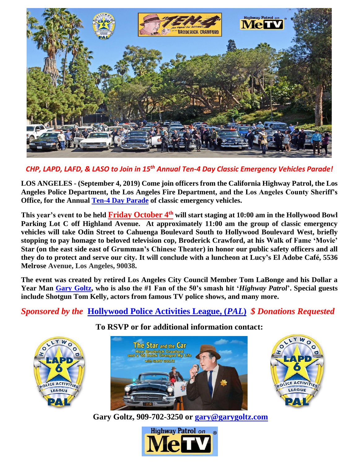

*CHP, LAPD, LAFD, & LASO to Join in 15 th Annual Ten-4 Day Classic Emergency Vehicles Parade!*

**LOS ANGELES - (September 4, 2019) Come join officers from the California Highway Patrol, the Los Angeles Police Department, the Los Angeles Fire Department, and the Los Angeles County Sheriff's Office, for the Annual [Ten-4 Day Parade](https://youtu.be/rZ5akHG2eUE) of classic emergency vehicles.** 

**This year's event to be held Friday October 4 th will start staging at 10:00 am in the Hollywood Bowl**  Parking Lot C off Highland Avenue. At approximately 11:00 am the group of classic emergency **vehicles will take Odin Street to Cahuenga Boulevard South to Hollywood Boulevard West, briefly stopping to pay homage to beloved television cop, Broderick Crawford, at his Walk of Fame 'Movie' Star (on the east side east of Grumman's Chinese Theater) in honor our public safety officers and all they do to protect and serve our city. It will conclude with a luncheon at Lucy's El Adobe Café, 5536 Melrose Avenue, Los Angeles, 90038.**

**The event was created by retired Los Angeles City Council Member Tom LaBonge and his Dollar a Year Man [Gary Goltz,](http://garysbuick.com/) who is also the #1 Fan of the 50's smash hit '***Highway Patrol***'. Special guests include Shotgun Tom Kelly, actors from famous TV police shows, and many more.** 

## *Sponsored by the* **[Hollywood Police Activities](http://hollywoodpal.org/) League, (***PAL***)** *\$ Donations Requested*



**To RSVP or for additional information contact:**





**Gary Goltz, 909-702-3250 or [gary@garygoltz.com](mailto:gary@garygoltz.com)**